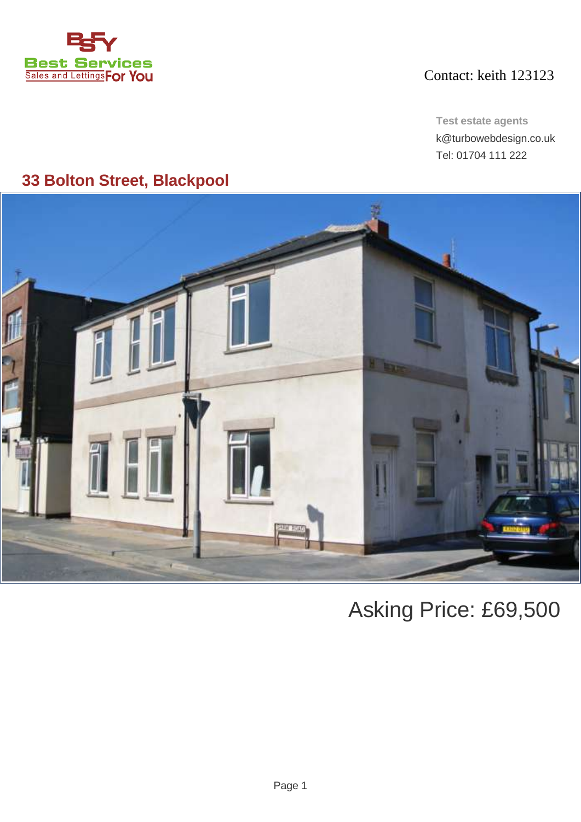

## Contact: keith 123123

**Test estate agents** k@turbowebdesign.co.uk Tel: 01704 111 222

# **33 Bolton Street, Blackpool**



Asking Price: £69,500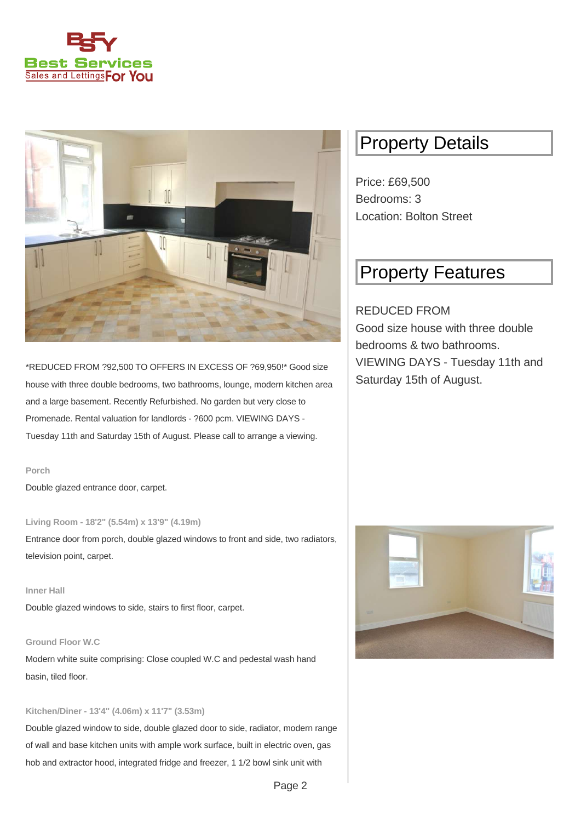



\*REDUCED FROM ?92,500 TO OFFERS IN EXCESS OF ?69,950!\* Good size house with three double bedrooms, two bathrooms, lounge, modern kitchen area and a large basement. Recently Refurbished. No garden but very close to Promenade. Rental valuation for landlords - ?600 pcm. VIEWING DAYS - Tuesday 11th and Saturday 15th of August. Please call to arrange a viewing.

### **Porch**

Double glazed entrance door, carpet.

**Living Room - 18'2" (5.54m) x 13'9" (4.19m)**

Entrance door from porch, double glazed windows to front and side, two radiators, television point, carpet.

### **Inner Hall**

Double glazed windows to side, stairs to first floor, carpet.

### **Ground Floor W.C**

Modern white suite comprising: Close coupled W.C and pedestal wash hand basin, tiled floor.

### **Kitchen/Diner - 13'4" (4.06m) x 11'7" (3.53m)**

Double glazed window to side, double glazed door to side, radiator, modern range of wall and base kitchen units with ample work surface, built in electric oven, gas hob and extractor hood, integrated fridge and freezer, 1 1/2 bowl sink unit with

# Property Details

Price: £69,500 Bedrooms: 3 Location: Bolton Street

# Property Features

## REDUCED FROM Good size house with three double bedrooms & two bathrooms. VIEWING DAYS - Tuesday 11th and Saturday 15th of August.

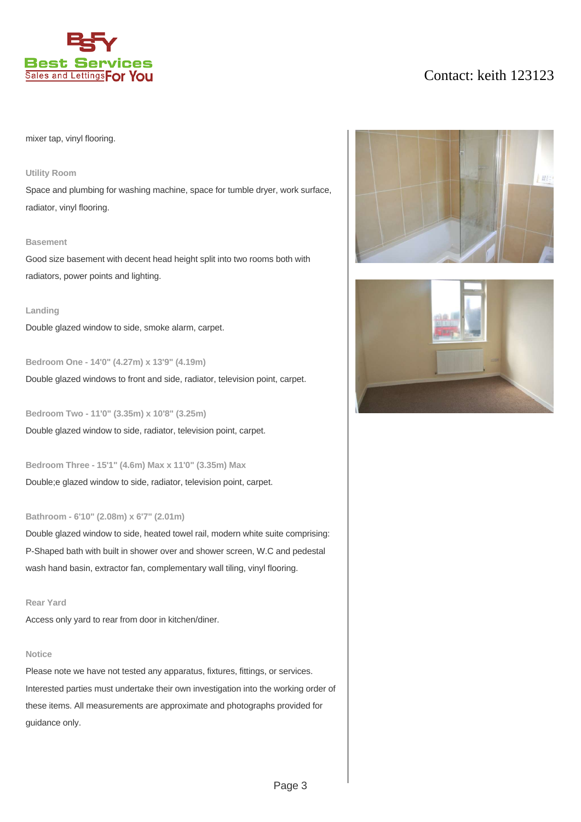

## Contact: keith 123123

### mixer tap, vinyl flooring.

#### **Utility Room**

Space and plumbing for washing machine, space for tumble dryer, work surface, radiator, vinyl flooring.

#### **Basement**

Good size basement with decent head height split into two rooms both with radiators, power points and lighting.

#### **Landing**

Double glazed window to side, smoke alarm, carpet.

### **Bedroom One - 14'0" (4.27m) x 13'9" (4.19m)**

Double glazed windows to front and side, radiator, television point, carpet.

**Bedroom Two - 11'0" (3.35m) x 10'8" (3.25m)**

Double glazed window to side, radiator, television point, carpet.

**Bedroom Three - 15'1" (4.6m) Max x 11'0" (3.35m) Max** Double;e glazed window to side, radiator, television point, carpet.

#### **Bathroom - 6'10" (2.08m) x 6'7" (2.01m)**

Double glazed window to side, heated towel rail, modern white suite comprising: P-Shaped bath with built in shower over and shower screen, W.C and pedestal wash hand basin, extractor fan, complementary wall tiling, vinyl flooring.

### **Rear Yard**

Access only yard to rear from door in kitchen/diner.

#### **Notice**

Please note we have not tested any apparatus, fixtures, fittings, or services. Interested parties must undertake their own investigation into the working order of these items. All measurements are approximate and photographs provided for guidance only.



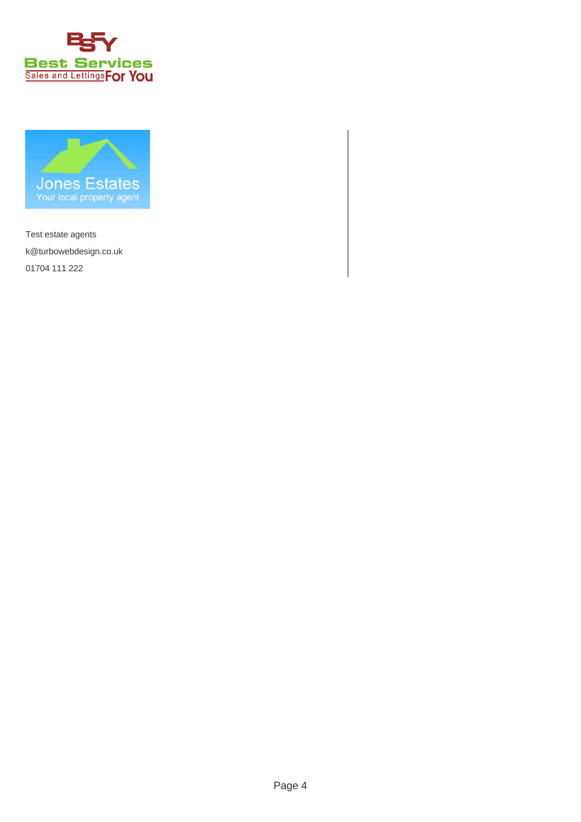



Test estate agents k@turbowebdesign.co.uk 01704 111 222